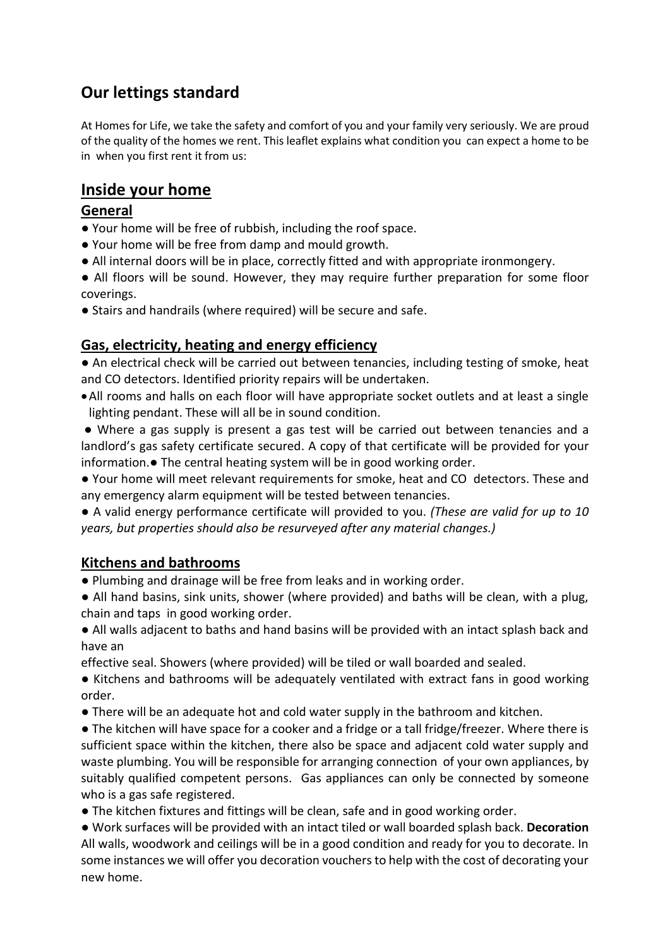# **Our lettings standard**

At Homes for Life, we take the safety and comfort of you and your family very seriously. We are proud of the quality of the homes we rent. This leaflet explains what condition you can expect a home to be in when you first rent it from us:

## **Inside your home**

#### **General**

- Your home will be free of rubbish, including the roof space.
- Your home will be free from damp and mould growth.
- All internal doors will be in place, correctly fitted and with appropriate ironmongery.

● All floors will be sound. However, they may require further preparation for some floor coverings.

● Stairs and handrails (where required) will be secure and safe.

## **Gas, electricity, heating and energy efficiency**

● An electrical check will be carried out between tenancies, including testing of smoke, heat and CO detectors. Identified priority repairs will be undertaken.

•All rooms and halls on each floor will have appropriate socket outlets and at least a single lighting pendant. These will all be in sound condition.

● Where a gas supply is present a gas test will be carried out between tenancies and a landlord's gas safety certificate secured. A copy of that certificate will be provided for your information.● The central heating system will be in good working order.

● Your home will meet relevant requirements for smoke, heat and CO detectors. These and any emergency alarm equipment will be tested between tenancies.

● A valid energy performance certificate will provided to you. *(These are valid for up to 10 years, but properties should also be resurveyed after any material changes.)*

#### **Kitchens and bathrooms**

● Plumbing and drainage will be free from leaks and in working order.

● All hand basins, sink units, shower (where provided) and baths will be clean, with a plug, chain and taps in good working order.

● All walls adjacent to baths and hand basins will be provided with an intact splash back and have an

effective seal. Showers (where provided) will be tiled or wall boarded and sealed.

● Kitchens and bathrooms will be adequately ventilated with extract fans in good working order.

● There will be an adequate hot and cold water supply in the bathroom and kitchen.

● The kitchen will have space for a cooker and a fridge or a tall fridge/freezer. Where there is sufficient space within the kitchen, there also be space and adjacent cold water supply and waste plumbing. You will be responsible for arranging connection of your own appliances, by suitably qualified competent persons. Gas appliances can only be connected by someone who is a gas safe registered.

● The kitchen fixtures and fittings will be clean, safe and in good working order.

● Work surfaces will be provided with an intact tiled or wall boarded splash back. **Decoration** All walls, woodwork and ceilings will be in a good condition and ready for you to decorate. In some instances we will offer you decoration vouchers to help with the cost of decorating your new home.